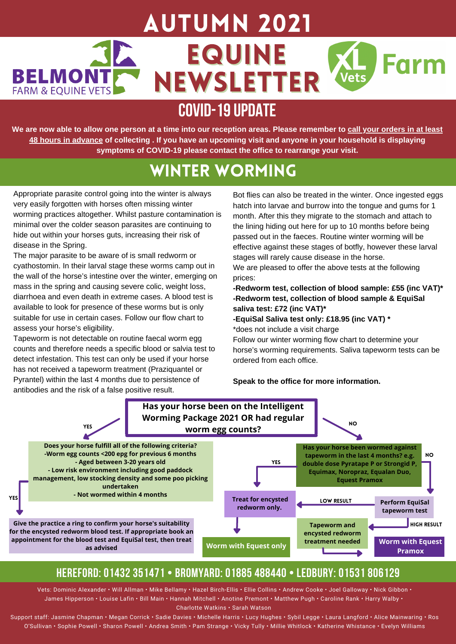## AUtumn 2021 36 EQUINE Farm **BELMONTF** NEWSLETTER Vets **FARM & EOUINE VETS**

# **COVID-19UPDATE**

We are now able to allow one person at a time into our reception areas. Please remember to call your orders in at least 48 hours in advance of collecting . If you have an upcoming visit and anyone in your household is displaying **symptoms of COVID-19 please contact the office to rearrange your visit.**

# Winter Worming

Appropriate parasite control going into the winter is always very easily forgotten with horses often missing winter worming practices altogether. Whilst pasture contamination is minimal over the colder season parasites are continuing to hide out within your horses guts, increasing their risk of disease in the Spring.

The major parasite to be aware of is small redworm or cyathostomin. In their larval stage these worms camp out in the wall of the horse's intestine over the winter, emerging on mass in the spring and causing severe colic, weight loss, diarrhoea and even death in extreme cases. A blood test is available to look for presence of these worms but is only suitable for use in certain cases. Follow our flow chart to assess your horse's eligibility.

Tapeworm is not detectable on routine faecal worm egg counts and therefore needs a specific blood or salvia test to detect infestation. This test can only be used if your horse has not received a tapeworm treatment (Praziquantel or Pyrantel) within the last 4 months due to persistence of antibodies and the risk of a false positive result.

Bot flies can also be treated in the winter. Once ingested eggs hatch into larvae and burrow into the tongue and gums for 1 month. After this they migrate to the stomach and attach to the lining hiding out here for up to 10 months before being passed out in the faeces. Routine winter worming will be effective against these stages of botfly, however these larval stages will rarely cause disease in the horse.

We are pleased to offer the above tests at the following prices:

**-Redworm test, collection of blood sample: £55 (inc VAT)\* -Redworm test, collection of blood sample & EquiSal saliva test: £72 (inc VAT)\***

**-EquiSal Saliva test only: £18.95 (inc VAT) \*** \*does not include a visit charge

Follow our winter worming flow chart to determine your horse's worming requirements. Saliva tapeworm tests can be ordered from each office.

**Speak to the office for more information.**



## **HEREFORD: 01432 351471 • BROMYARD: 01885 488440 • LEDBURY: 01531 806129**

Vets: Dominic Alexander • Will Allman • Mike Bellamy • Hazel Birch-Ellis • Ellie Collins • Andrew Cooke • Joel Galloway • Nick Gibbon • James Hipperson • Louise Lafin • Bill Main • Hannah Mitchell • Anotine Premont • Matthew Pugh • Caroline Rank • Harry Walby • Charlotte Watkins • Sarah Watson

Support staff: Jasmine Chapman • Megan Corrick • Sadie Davies • Michelle Harris • Lucy Hughes • Sybil Legge • Laura Langford • Alice Mainwaring • Ros O'Sullivan • Sophie Powell • Sharon Powell • Andrea Smith • Pam Strange • Vicky Tully • Millie Whitlock • Katherine Whistance • Evelyn Williams